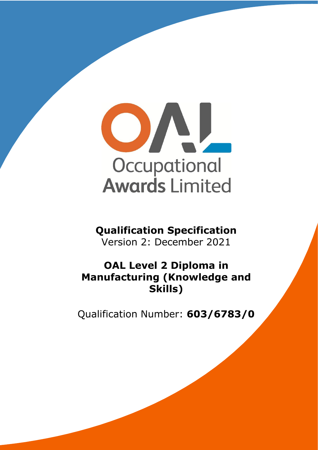

# **Qualification Specification**

Version 2: December 2021

# **OAL Level 2 Diploma in Manufacturing (Knowledge and Skills)**

Qualification Number: **603/6783/0**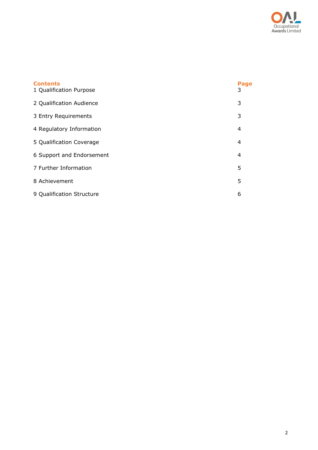

| <b>Contents</b><br>1 Qualification Purpose | Page<br>3      |
|--------------------------------------------|----------------|
| 2 Qualification Audience                   | 3              |
| 3 Entry Requirements                       | 3              |
| 4 Regulatory Information                   | 4              |
| 5 Qualification Coverage                   | $\overline{4}$ |
| 6 Support and Endorsement                  | $\overline{4}$ |
| 7 Further Information                      | 5              |
| 8 Achievement                              | 5              |
| 9 Qualification Structure                  | 6              |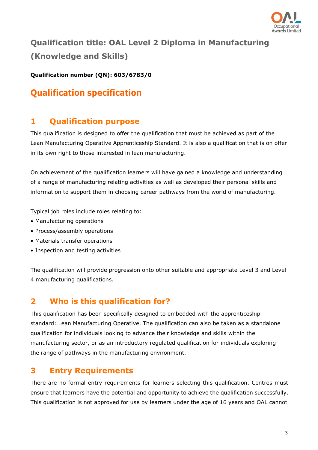

# **Qualification title: OAL Level 2 Diploma in Manufacturing (Knowledge and Skills)**

**Qualification number (QN): 603/6783/0**

## **Qualification specification**

## <span id="page-2-0"></span>**1 Qualification purpose**

This qualification is designed to offer the qualification that must be achieved as part of the Lean Manufacturing Operative Apprenticeship Standard. It is also a qualification that is on offer in its own right to those interested in lean manufacturing.

On achievement of the qualification learners will have gained a knowledge and understanding of a range of manufacturing relating activities as well as developed their personal skills and information to support them in choosing career pathways from the world of manufacturing.

Typical job roles include roles relating to:

- Manufacturing operations
- Process/assembly operations
- Materials transfer operations
- Inspection and testing activities

The qualification will provide progression onto other suitable and appropriate Level 3 and Level 4 manufacturing qualifications.

## **2 Who is this qualification for?**

This qualification has been specifically designed to embedded with the apprenticeship standard: Lean Manufacturing Operative. The qualification can also be taken as a standalone qualification for individuals looking to advance their knowledge and skills within the manufacturing sector, or as an introductory regulated qualification for individuals exploring the range of pathways in the manufacturing environment.

### <span id="page-2-1"></span>**3 Entry Requirements**

There are no formal entry requirements for learners selecting this qualification. Centres must ensure that learners have the potential and opportunity to achieve the qualification successfully. This qualification is not approved for use by learners under the age of 16 years and OAL cannot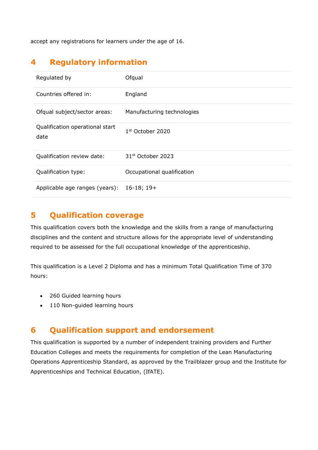accept any registrations for learners under the age of 16.

## <span id="page-3-0"></span>**4 Regulatory information**

| Regulated by                            | Ofqual                        |
|-----------------------------------------|-------------------------------|
| Countries offered in:                   | England                       |
| Ofqual subject/sector areas:            | Manufacturing technologies    |
| Qualification operational start<br>date | 1 <sup>st</sup> October 2020  |
| Qualification review date:              | 31 <sup>st</sup> October 2023 |
| Qualification type:                     | Occupational qualification    |
| Applicable age ranges (years):          | $16-18; 19+$                  |

### <span id="page-3-1"></span>**5 Qualification coverage**

This qualification covers both the knowledge and the skills from a range of manufacturing disciplines and the content and structure allows for the appropriate level of understanding required to be assessed for the full occupational knowledge of the apprenticeship.

This qualification is a Level 2 Diploma and has a minimum Total Qualification Time of 370 hours:

- 260 Guided learning hours
- 110 Non-guided learning hours

#### **6 Qualification support and endorsement**

This qualification is supported by a number of independent training providers and Further Education Colleges and meets the requirements for completion of the Lean Manufacturing Operations Apprenticeship Standard, as approved by the Trailblazer group and the Institute for Apprenticeships and Technical Education, (IfATE).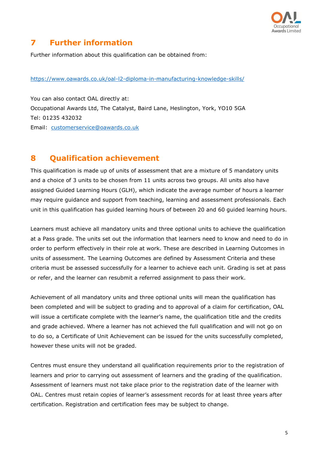

## <span id="page-4-0"></span>**7 Further information**

Further information about this qualification can be obtained from:

#### <https://www.oawards.co.uk/oal-l2-diploma-in-manufacturing-knowledge-skills/>

You can also contact OAL directly at: Occupational Awards Ltd, The Catalyst, Baird Lane, Heslington, York, YO10 5GA Tel: 01235 432032 Email: [customerservice@oawards.co.uk](mailto:customerservice@oawards.co.uk)

#### **8 Qualification achievement**

This qualification is made up of units of assessment that are a mixture of 5 mandatory units and a choice of 3 units to be chosen from 11 units across two groups. All units also have assigned Guided Learning Hours (GLH), which indicate the average number of hours a learner may require guidance and support from teaching, learning and assessment professionals. Each unit in this qualification has guided learning hours of between 20 and 60 guided learning hours.

Learners must achieve all mandatory units and three optional units to achieve the qualification at a Pass grade. The units set out the information that learners need to know and need to do in order to perform effectively in their role at work. These are described in Learning Outcomes in units of assessment. The Learning Outcomes are defined by Assessment Criteria and these criteria must be assessed successfully for a learner to achieve each unit. Grading is set at pass or refer, and the learner can resubmit a referred assignment to pass their work.

Achievement of all mandatory units and three optional units will mean the qualification has been completed and will be subject to grading and to approval of a claim for certification, OAL will issue a certificate complete with the learner's name, the qualification title and the credits and grade achieved. Where a learner has not achieved the full qualification and will not go on to do so, a Certificate of Unit Achievement can be issued for the units successfully completed, however these units will not be graded.

Centres must ensure they understand all qualification requirements prior to the registration of learners and prior to carrying out assessment of learners and the grading of the qualification. Assessment of learners must not take place prior to the registration date of the learner with OAL. Centres must retain copies of learner's assessment records for at least three years after certification. Registration and certification fees may be subject to change.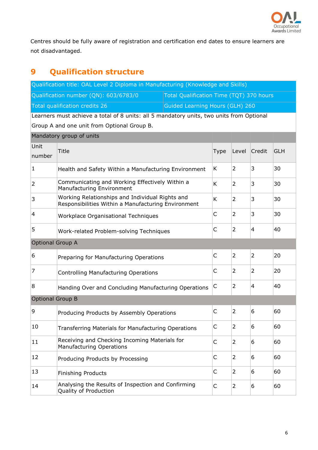

Centres should be fully aware of registration and certification end dates to ensure learners are not disadvantaged.

# <span id="page-5-0"></span>**9 Qualification structure**

 $M = M$ 

| Qualification title: OAL Level 2 Diploma in Manufacturing (Knowledge and Skills) |                                          |  |  |  |  |
|----------------------------------------------------------------------------------|------------------------------------------|--|--|--|--|
| Qualification number (QN): 603/6783/0                                            | Total Qualification Time (TQT) 370 hours |  |  |  |  |
| Total qualification credits 26                                                   | Guided Learning Hours (GLH) 260          |  |  |  |  |
|                                                                                  |                                          |  |  |  |  |

Learners must achieve a total of 8 units: all 5 mandatory units, two units from Optional Group A and one unit from Optional Group B.

|                         | <b>Manuatory group of units</b>                                                                        |              |                |                |            |  |
|-------------------------|--------------------------------------------------------------------------------------------------------|--------------|----------------|----------------|------------|--|
| Unit<br>number          | <b>Title</b>                                                                                           | Type         | Level          | Credit         | <b>GLH</b> |  |
| $\mathbf{1}$            | Health and Safety Within a Manufacturing Environment                                                   | K            | 2              | 3              | 30         |  |
| $\overline{2}$          | Communicating and Working Effectively Within a<br>Manufacturing Environment                            | K            | $\overline{2}$ | 3              | 30         |  |
| 3                       | Working Relationships and Individual Rights and<br>Responsibilities Within a Manufacturing Environment | K            | $\overline{2}$ | 3              | 30         |  |
| 4                       | Workplace Organisational Techniques                                                                    | $\mathsf{C}$ | 2              | 3              | 30         |  |
| 5                       | Work-related Problem-solving Techniques                                                                | $\mathsf{C}$ | $\overline{2}$ | $\overline{4}$ | 40         |  |
| <b>Optional Group A</b> |                                                                                                        |              |                |                |            |  |
| 6                       | Preparing for Manufacturing Operations                                                                 | $\mathsf{C}$ | $\overline{2}$ | $\overline{2}$ | 20         |  |
| 7                       | <b>Controlling Manufacturing Operations</b>                                                            | C            | 2              | $\overline{2}$ | 20         |  |
| 8                       | Handing Over and Concluding Manufacturing Operations                                                   | C            | 2              | $\overline{4}$ | 40         |  |
| <b>Optional Group B</b> |                                                                                                        |              |                |                |            |  |
| 9                       | Producing Products by Assembly Operations                                                              | $\mathsf{C}$ | $\overline{2}$ | 6              | 60         |  |
| 10                      | Transferring Materials for Manufacturing Operations                                                    | C            | 2              | 6              | 60         |  |
| 11                      | Receiving and Checking Incoming Materials for<br><b>Manufacturing Operations</b>                       | C            | $\overline{2}$ | 6              | 60         |  |
| 12                      | Producing Products by Processing                                                                       | C            | $\overline{2}$ | 6              | 60         |  |
| 13                      | <b>Finishing Products</b>                                                                              | $\mathsf{C}$ | $\overline{2}$ | 6              | 60         |  |
| 14                      | Analysing the Results of Inspection and Confirming<br>Quality of Production                            | C            | 2              | 6              | 60         |  |